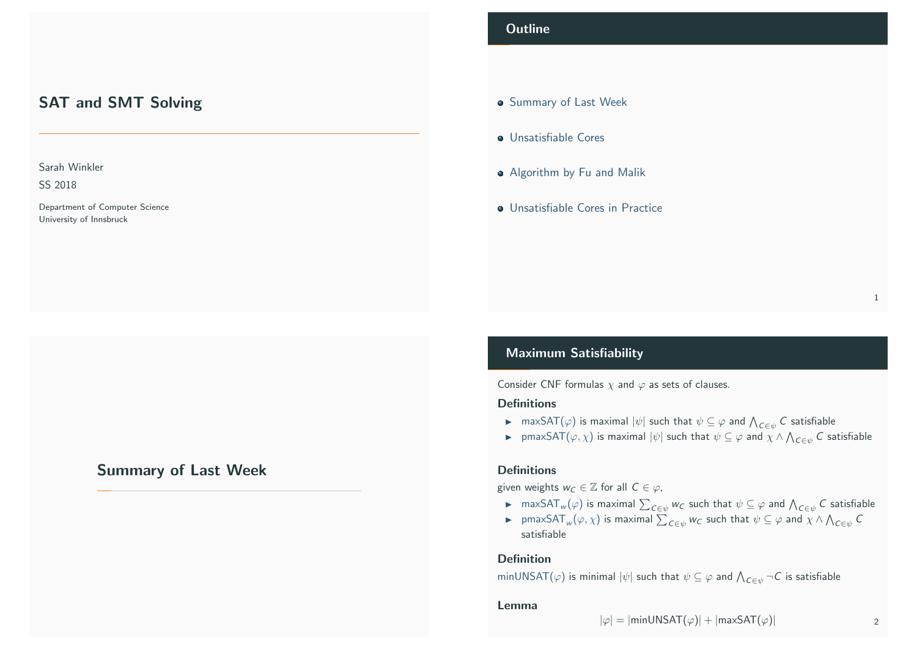# SAT and SMT Solving

## Sarah Winkler

SS 2018

Department of Computer Science University of Innsbruck

# <span id="page-0-0"></span>[Su](#page-2-0)[mmary of Last W](#page-0-0)eek

## **Outline**

- **Summary of Last Week**
- **·** Unsatisfiable Cores
- **•** Algorithm by Fu and Malik
- **Unsatisfiable Cores in Practice**

## Maximum Satisfiability

Consider CNF formulas  $\chi$  and  $\varphi$  as sets of clauses.

## **Definitions**

- $\blacktriangleright$   $\mod$  max $\mathsf{SAT}(\varphi)$  is maximal  $|\psi|$  such that  $\psi \subseteq \varphi$  and  $\bigwedge_{\mathcal{C} \in \psi} \mathcal{C}$  satisfiable
- $\blacktriangleright$  pmaxSAT $(\varphi, \chi)$  is maximal  $|\psi|$  such that  $\psi \subseteq \varphi$  and  $\chi \wedge \bigwedge_{\mathcal{C} \in \psi} \mathcal{C}$  satisfiable

#### **Definitions**

given weights  $w_C \in \mathbb{Z}$  for all  $C \in \varphi$ ,

- $\blacktriangleright$   $\mod$  maxSAT $_w(\varphi)$  is maximal  $\sum_{\mathcal{C}\in\psi}w_\mathcal{C}$  such that  $\psi\subseteq\varphi$  and  $\bigwedge_{\mathcal{C}\in\psi}\mathcal{C}$  satisfiable
- ► pmaxSAT $_w(\varphi,\chi)$  is maximal  $\sum_{C\in\psi}w_C$  such that  $\psi\subseteq\varphi$  and  $\chi\wedge\bigwedge_{C\in\psi}C$ satisfiable

## Definition

minUNSAT $(\varphi)$  is minimal  $|\psi|$  such that  $\psi\subseteq\varphi$  and  $\bigwedge_{C\in\psi}\neg C$  is satisfiable

#### Lemma

$$
|\varphi| = |\text{minUNSAT}(\varphi)| + |\text{maxSAT}(\varphi)| \qquad \qquad \text{2}
$$

1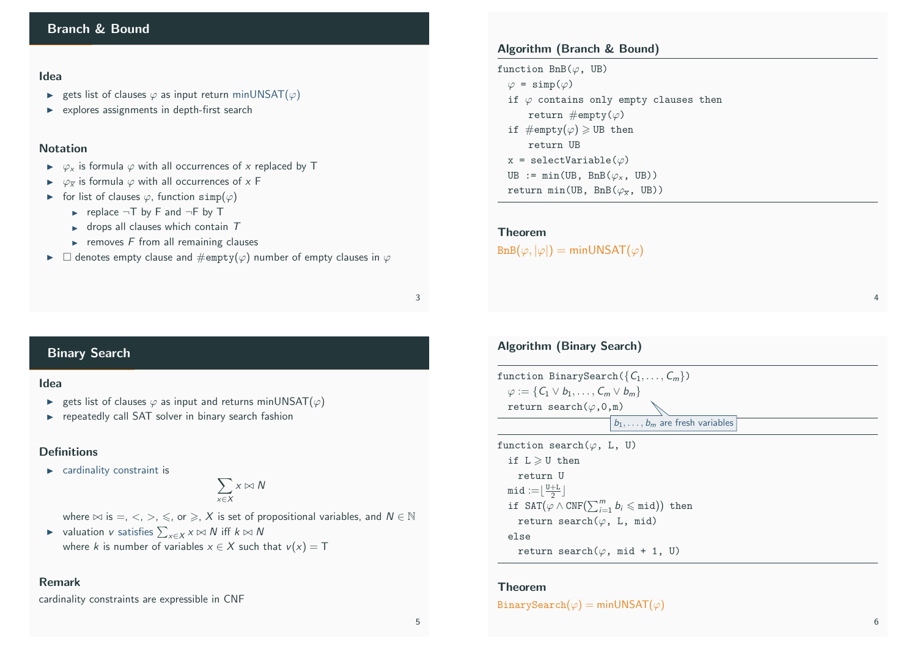#### Idea

- ► gets list of clauses  $\varphi$  as input return minUNSAT( $\varphi$ )
- $\triangleright$  explores assignments in depth-first search

#### Notation

- $\triangleright \varphi_x$  is formula  $\varphi$  with all occurrences of x replaced by T
- $\triangleright \varphi_{\overline{x}}$  is formula  $\varphi$  with all occurrences of x F
- $\triangleright$  for list of clauses  $\varphi$ , function simp( $\varphi$ )
	- replace  $\neg$ T by F and  $\neg$ F by T
	- $\blacktriangleright$  drops all clauses which contain  $T$
	- $\blacktriangleright$  removes F from all remaining clauses
- $\triangleright$   $\Box$  denotes empty clause and  $\#\text{empty}(\varphi)$  number of empty clauses in  $\varphi$

## Algorithm (Branch & Bound)

function  $BnB(\varphi, UB)$  $\varphi = \text{simp}(\varphi)$ if  $\varphi$  contains only empty clauses then return  $\#\text{empty}(\varphi)$ if  $\#\text{empty}(\varphi) \geq$  UB then return UB x = selectVariable $(\varphi)$ UB :=  $min(UB, BnB(\varphi_x, UB))$ return min(UB, BnB $(\varphi_{\overline{v}}, \mathsf{UB})$ )

#### Theorem

 $\text{BnB}(\varphi, |\varphi|) = \text{minUNSAT}(\varphi)$ 

#### 3

## Binary Search

#### Idea

- ► gets list of clauses  $\varphi$  as input and returns minUNSAT( $\varphi$ )
- $\blacktriangleright$  repeatedly call SAT solver in binary search fashion

## **Definitions**

 $\blacktriangleright$  cardinality constraint is

$$
\sum_{x\in X}x\bowtie N
$$

- where  $\bowtie$  is =,  $\lt$ ,  $\gt$ ,  $\leq$ , or  $\geq$ , X is set of propositional variables, and  $N \in \mathbb{N}$
- ► valuation v satisfies  $\sum_{x \in X} x \bowtie N$  iff  $k \bowtie N$ where k is number of variables  $x \in X$  such that  $v(x) = T$

## Remark

cardinality constraints are expressible in CNF

# Algorithm (Binary Search)

function BinarySearch( $\{C_1, \ldots, C_m\}$ )  $\varphi := \{C_1 \vee b_1, \ldots, C_m \vee b_m\}$ return search $(\varphi, 0, m)$  $\boxed{b_1, \ldots, b_m}$  are fresh variables

function search $(\varphi, L, U)$ if  $L \geqslant U$  then return U  $mid := \lfloor \frac{U+L}{2} \rfloor$ if SAT $(\varphi \wedge \text{CNF}(\sum_{i=1}^{m} b_i \leqslant \text{mid}))$  then return search $(\varphi, L, mid)$ else return search $(\varphi, \text{mid } + 1, \text{U})$ 

#### Theorem

BinarySearch( $\varphi$ ) = minUNSAT( $\varphi$ )

4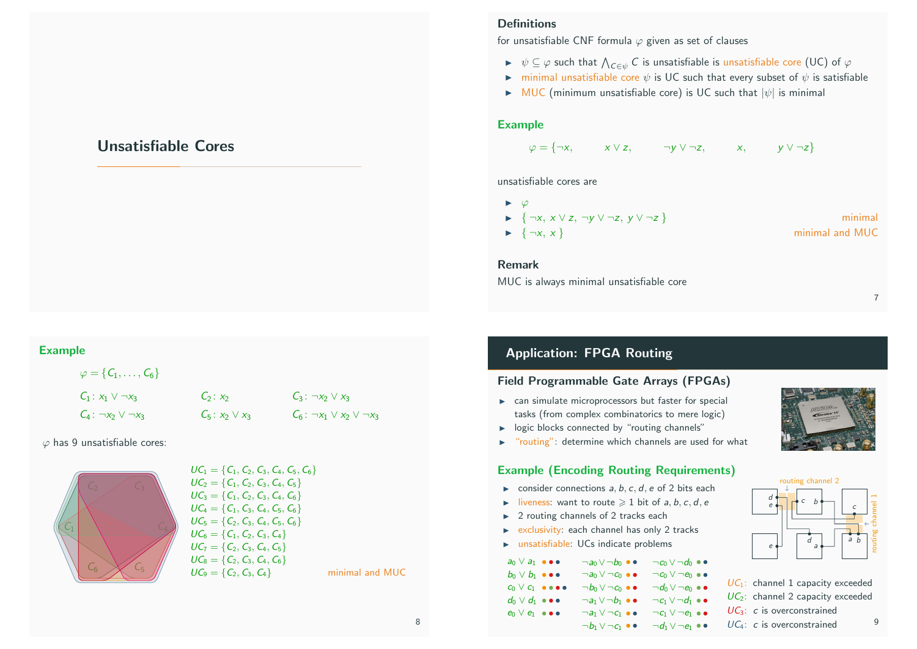# Unsatisfiable Cores

## <span id="page-2-0"></span>Example

| $\varphi = \{ \mathcal{C}_1, \ldots, \mathcal{C}_6 \}$ |                     |                                           |
|--------------------------------------------------------|---------------------|-------------------------------------------|
| $C_1: x_1 \vee \neg x_3$                               | $C_2: x_2$          | $C_3: \neg x_2 \vee x_3$                  |
| $C_4: \neg x_2 \vee \neg x_3$                          | $C_5: x_2 \vee x_3$ | $C_6$ : $\neg x_1 \lor x_2 \lor \neg x_3$ |

 $\varphi$  has 9 unsatisfiable cores:



$$
UC_1 = \{C_1, C_2, C_3, C_4, C_5, C_6\}
$$
  
\n
$$
UC_2 = \{C_1, C_2, C_3, C_4, C_5\}
$$
  
\n
$$
UC_3 = \{C_1, C_2, C_3, C_4, C_6\}
$$
  
\n
$$
UC_4 = \{C_1, C_3, C_4, C_5, C_6\}
$$
  
\n
$$
UC_5 = \{C_2, C_3, C_4, C_5, C_6\}
$$
  
\n
$$
UC_6 = \{C_1, C_2, C_3, C_4\}
$$
  
\n
$$
UC_7 = \{C_2, C_3, C_4, C_5\}
$$
  
\n
$$
UC_8 = \{C_2, C_3, C_4, C_6\}
$$
  
\n
$$
UC_9 = \{C_2, C_3, C_4\}
$$

## Definitions

for unsatisfiable CNF formula  $\varphi$  given as set of clauses

- $\blacktriangleright~~\psi\subseteq\varphi$  such that  $\bigwedge_{\mathcal{C}\in\psi}\mathcal{C}$  is unsatisfiable is unsatisfiable core (UC) of  $\varphi$
- ightharpoonup minimal unsatisfiable core  $\psi$  is UC such that every subset of  $\psi$  is satisfiable
- $\triangleright$  MUC (minimum unsatisfiable core) is UC such that  $|\psi|$  is minimal

## Example

$$
\varphi = \{\neg x, \qquad x \lor z, \qquad \neg y \lor \neg z, \qquad x, \qquad y \lor \neg z\}
$$

unsatisfiable cores are

| $\blacktriangleright$ $\varphi$                                                 |                 |
|---------------------------------------------------------------------------------|-----------------|
| $\blacktriangleright$ $\{\neg x, x \lor z, \neg y \lor \neg z, y \lor \neg z\}$ | minimal         |
| $\blacktriangleright \{\neg x, x\}$                                             | minimal and MUC |

Remark

MUC is always minimal unsatisfiable core

# Application: FPGA Routing

## Field Programmable Gate Arrays (FPGAs)

- $\triangleright$  can simulate microprocessors but faster for special tasks (from complex combinatorics to mere logic)
- $\blacktriangleright$  logic blocks connected by "routing channels"
- "routing": determine which channels are used for what

## Example (Encoding Routing Requirements)

- $\triangleright$  consider connections a, b, c, d, e of 2 bits each
- $\triangleright$  liveness: want to route  $\geq 1$  bit of a, b, c, d, e
- $\blacktriangleright$  2 routing channels of 2 tracks each
- $\triangleright$  exclusivity: each channel has only 2 tracks
- $\triangleright$  unsatisfiable: UCs indicate problems

| $a_0 \vee a_1 \bullet \bullet \bullet$           | $\neg a_0 \vee \neg b_0 \bullet \bullet$ | $\neg c_0 \vee \neg d_0 \bullet \bullet$              |
|--------------------------------------------------|------------------------------------------|-------------------------------------------------------|
| $b_0 \vee b_1 \bullet \bullet \bullet$           | $\neg a_0 \vee \neg c_0 \bullet \bullet$ | $\neg\, c_0 \vee \neg\, e_0 \mathrel{\bullet}\bullet$ |
| $C_0 \vee C_1$ $\bullet \bullet \bullet \bullet$ | $\neg b_0 \vee \neg c_0 \bullet \bullet$ | $\neg d_0 \vee \neg e_0 \bullet \bullet$              |
| $d_0 \vee d_1 \bullet \bullet \bullet$           | $\neg a_1 \vee \neg b_1 \bullet \bullet$ | $\neg c_1 \vee \neg d_1 \bullet \bullet$              |
| $e_0 \vee e_1 \bullet \bullet \bullet$           | $\neg a_1 \vee \neg c_1 \bullet \bullet$ | $\neg c_1 \vee \neg e_1 \bullet \bullet$              |
|                                                  | $\neg b_1 \vee \neg c_1 \bullet \bullet$ | $\neg d_1 \vee \neg e_1 \bullet \bullet$              |





 $UC_1$ : channel 1 capacity exceeded  $UC_2$ : channel 2 capacity exceeded  $UC_3$ : c is overconstrained  $UC_4$ : c is overconstrained  $9$ 

 $minimal$  and MUC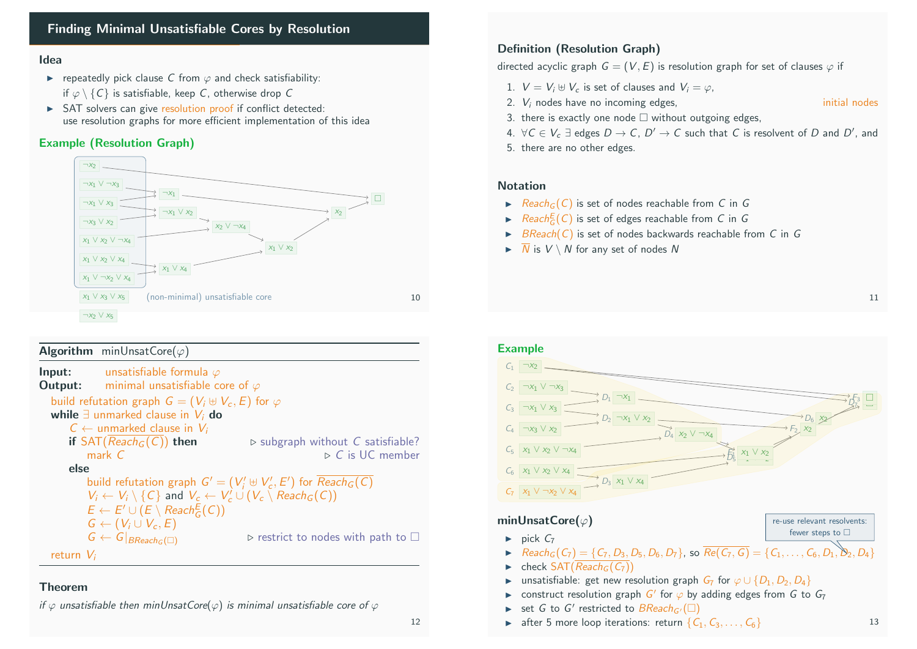# Finding Minimal Unsatisfiable Cores by Resolution

## Idea

- repeatedly pick clause C from  $\varphi$  and check satisfiability: if  $\varphi \setminus \{C\}$  is satisfiable, keep C, otherwise drop C
- $\triangleright$  SAT solvers can give resolution proof if conflict detected: use resolution graphs for more efficient implementation of this idea

## Example (Resolution Graph)



## Algorithm minUnsatCore( $\varphi$ )

| Input:                                                                                        | unsatisfiable formula $\varphi$                                |                                                                       |  |  |
|-----------------------------------------------------------------------------------------------|----------------------------------------------------------------|-----------------------------------------------------------------------|--|--|
|                                                                                               | <b>Output:</b> minimal unsatisfiable core of $\varphi$         |                                                                       |  |  |
|                                                                                               | build refutation graph $G = (V_i \oplus V_c, E)$ for $\varphi$ |                                                                       |  |  |
|                                                                                               | while $\exists$ unmarked clause in $V_i$ do                    |                                                                       |  |  |
| $C \leftarrow$ unmarked clause in $V_i$                                                       |                                                                |                                                                       |  |  |
|                                                                                               | if $SAT(Reach_G(C))$ then                                      | $\triangleright$ subgraph without C satisfiable?                      |  |  |
|                                                                                               | mark $C$                                                       | $\triangleright$ C is UC member                                       |  |  |
| else                                                                                          |                                                                |                                                                       |  |  |
|                                                                                               |                                                                | build refutation graph $G' = (V'_i \oplus V'_c, E')$ for $Reach_G(C)$ |  |  |
| $V_i \leftarrow V_i \setminus \{C\}$ and $V_c \leftarrow V_c' \cup (V_c \setminus Read_G(C))$ |                                                                |                                                                       |  |  |
|                                                                                               | $E \leftarrow E' \cup (E \setminus \text{Reach}^E_C(C))$       |                                                                       |  |  |
|                                                                                               | $G \leftarrow (V_i \cup V_c, E)$                               |                                                                       |  |  |
|                                                                                               | $G \leftarrow G _{BReach_G(\square)}$                          | $\triangleright$ restrict to nodes with path to $\square$             |  |  |
| return $V_i$                                                                                  |                                                                |                                                                       |  |  |
|                                                                                               |                                                                |                                                                       |  |  |

## Theorem

if  $\varphi$  unsatisfiable then minUnsatCore( $\varphi$ ) is minimal unsatisfiable core of  $\varphi$ 

## Definition (Resolution Graph)

directed acyclic graph  $G = (V, E)$  is resolution graph for set of clauses  $\varphi$  if

- 1.  $V = V_i \oplus V_c$  is set of clauses and  $V_i = \varphi$ .
- 2.  $V_i$  nodes have no incoming edges,  $\blacksquare$  initial nodes
	-
- 3. there is exactly one node  $\Box$  without outgoing edges,
- 4. ∀C  $\in$   $V_c$   $\exists$  edges  $D \rightarrow$   $C$ ,  $D' \rightarrow$   $C$  such that  $C$  is resolvent of  $D$  and  $D'$ , and
- 5. there are no other edges.

## **Notation**

- $\blacktriangleright$  Reach<sub>G</sub>(C) is set of nodes reachable from C in G
- $\blacktriangleright$  Reach $E(G)$  is set of edges reachable from C in G
- BReach(C) is set of nodes backwards reachable from C in G
- $\blacktriangleright \overline{N}$  is  $V \setminus N$  for any set of nodes N





- $\triangleright$  Reach<sub>G</sub>(C<sub>7</sub>) = {C<sub>7</sub>, D<sub>3</sub>, D<sub>5</sub>, D<sub>6</sub>, D<sub>7</sub>}, so  $\overline{Re(C_7, G)} = \{C_1, \ldots, C_6, D_1\}$
- $\blacktriangleright$  check SAT( $\overline{Reach_G(C_7)}$ )
- unsatisfiable: get new resolution graph  $G_7$  for  $\varphi \cup \{D_1, D_2, D_4\}$
- ► construct resolution graph  $G'$  for  $\varphi$  by adding edges from G to  $G_7$
- Set G to G' restricted to  $BReach_{G'}(\square)$
- after 5 more loop iterations: return  $\{C_1, C_3, \ldots, C_6\}$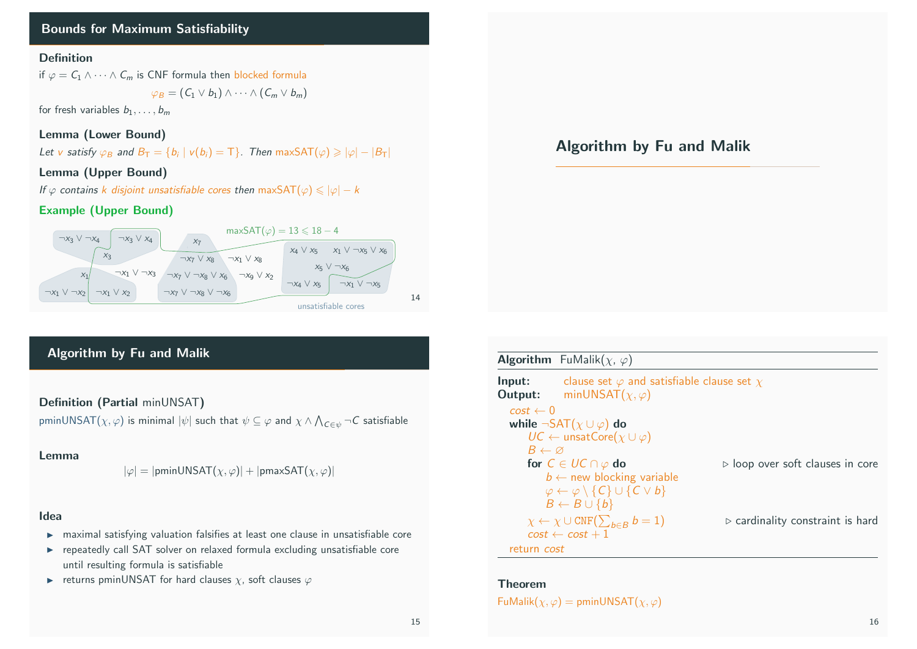# Bounds for Maximum Satisfiability

## Definition

if  $\varphi = C_1 \wedge \cdots \wedge C_m$  is CNF formula then blocked formula

$$
\varphi_B=(C_1\vee b_1)\wedge\cdots\wedge(C_m\vee b_m)
$$

for fresh variables  $b_1, \ldots, b_m$ 

## Lemma (Lower Bound)

Let v satisfy  $\varphi_B$  and  $B_T = \{b_i \mid v(b_i) = T\}$ . Then maxSAT $(\varphi) \geq |\varphi| - |B_T|$ 

## Lemma (Upper Bound)

If  $\varphi$  contains k disjoint unsatisfiable cores then maxSAT $(\varphi) \leq |\varphi| - k$ 

## Example (Upper Bound)



# Algorithm by Fu and Malik

Definition (Partial minUNSAT)

pminUNSAT $(\chi,\varphi)$  is minimal  $|\psi|$  such that  $\psi\subseteq\varphi$  and  $\chi\wedge\bigwedge_{\mathcal{C}\in\psi}\neg\mathcal{C}$  satisfiable

#### Lemma

$$
|\varphi| = |\text{pminUNSAT}(\chi, \varphi)| + |\text{pmaxSAT}(\chi, \varphi)|
$$

## Idea

- $\triangleright$  maximal satisfying valuation falsifies at least one clause in unsatisfiable core
- $\triangleright$  repeatedly call SAT solver on relaxed formula excluding unsatisfiable core until resulting formula is satisfiable
- returns pminUNSAT for hard clauses  $\chi$ , soft clauses  $\varphi$

# Algorithm by Fu and Malik

|                            | <b>Algorithm</b> FuMalik $(\chi, \varphi)$                                          |                                                 |
|----------------------------|-------------------------------------------------------------------------------------|-------------------------------------------------|
| Input:<br>Output:          | clause set $\varphi$ and satisfiable clause set $\chi$<br>minUNSAT $(\chi,\varphi)$ |                                                 |
| $cost \leftarrow 0$        |                                                                                     |                                                 |
|                            | while $\neg$ SAT $(\chi \cup \varphi)$ do                                           |                                                 |
|                            | $UC \leftarrow$ unsatCore( $\chi \cup \varphi$ )                                    |                                                 |
| $B \leftarrow \varnothing$ |                                                                                     |                                                 |
|                            | for $C \in UC \cap \varphi$ do                                                      | $\triangleright$ loop over soft clauses in core |
|                            | $b \leftarrow$ new blocking variable                                                |                                                 |
|                            | $\varphi \leftarrow \varphi \setminus \{C\} \cup \{C \vee b\}$                      |                                                 |
|                            | $B \leftarrow B \cup \{b\}$                                                         |                                                 |
|                            | $\chi \leftarrow \chi \cup \text{CNF}(\sum_{b \in B} b = 1)$                        | $\triangleright$ cardinality constraint is hard |
|                            | $cost \leftarrow cost + 1$                                                          |                                                 |
| return <i>cost</i>         |                                                                                     |                                                 |

#### Theorem

 $Fu$ Malik $(\chi, \varphi) =$  pminUNSAT $(\chi, \varphi)$